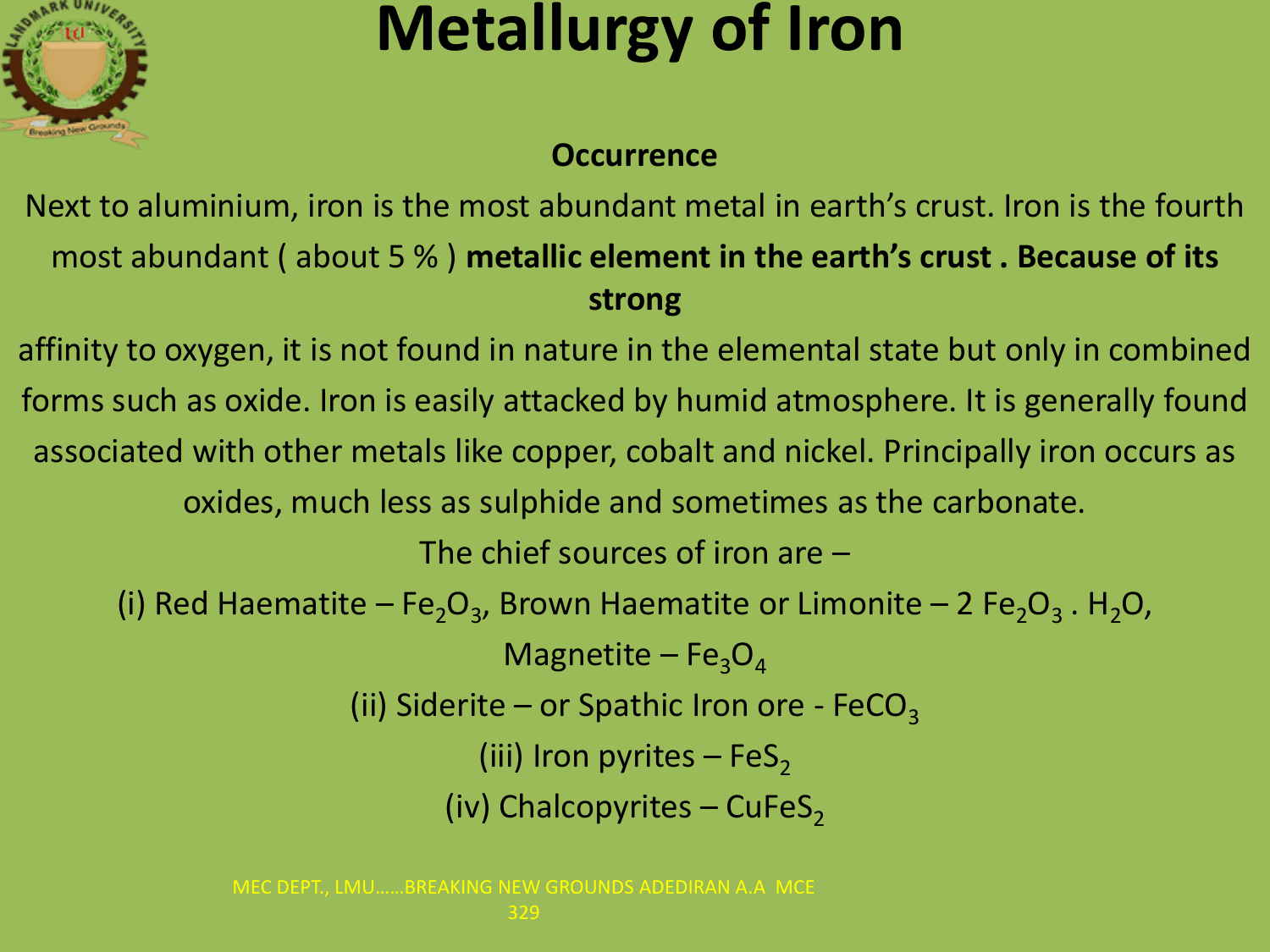

### **Metallurgy of Iron**

#### **Occurrence**

Next to aluminium, iron is the most abundant metal in earth's crust. Iron is the fourth most abundant ( about 5 % ) **metallic element in the earth's crust . Because of its strong**

affinity to oxygen, it is not found in nature in the elemental state but only in combined forms such as oxide. Iron is easily attacked by humid atmosphere. It is generally found associated with other metals like copper, cobalt and nickel. Principally iron occurs as oxides, much less as sulphide and sometimes as the carbonate. The chief sources of iron are –

(i) Red Haematite – Fe<sub>2</sub>O<sub>3</sub>, Brown Haematite or Limonite – 2 Fe<sub>2</sub>O<sub>3</sub>. H<sub>2</sub>O,

Magnetite –  $Fe<sub>3</sub>O<sub>4</sub>$ 

(ii) Siderite – or Spathic Iron ore - FeCO<sub>3</sub>

(iii) Iron pyrites – FeS<sub>2</sub>

(iv) Chalcopyrites – CuFeS<sub>2</sub>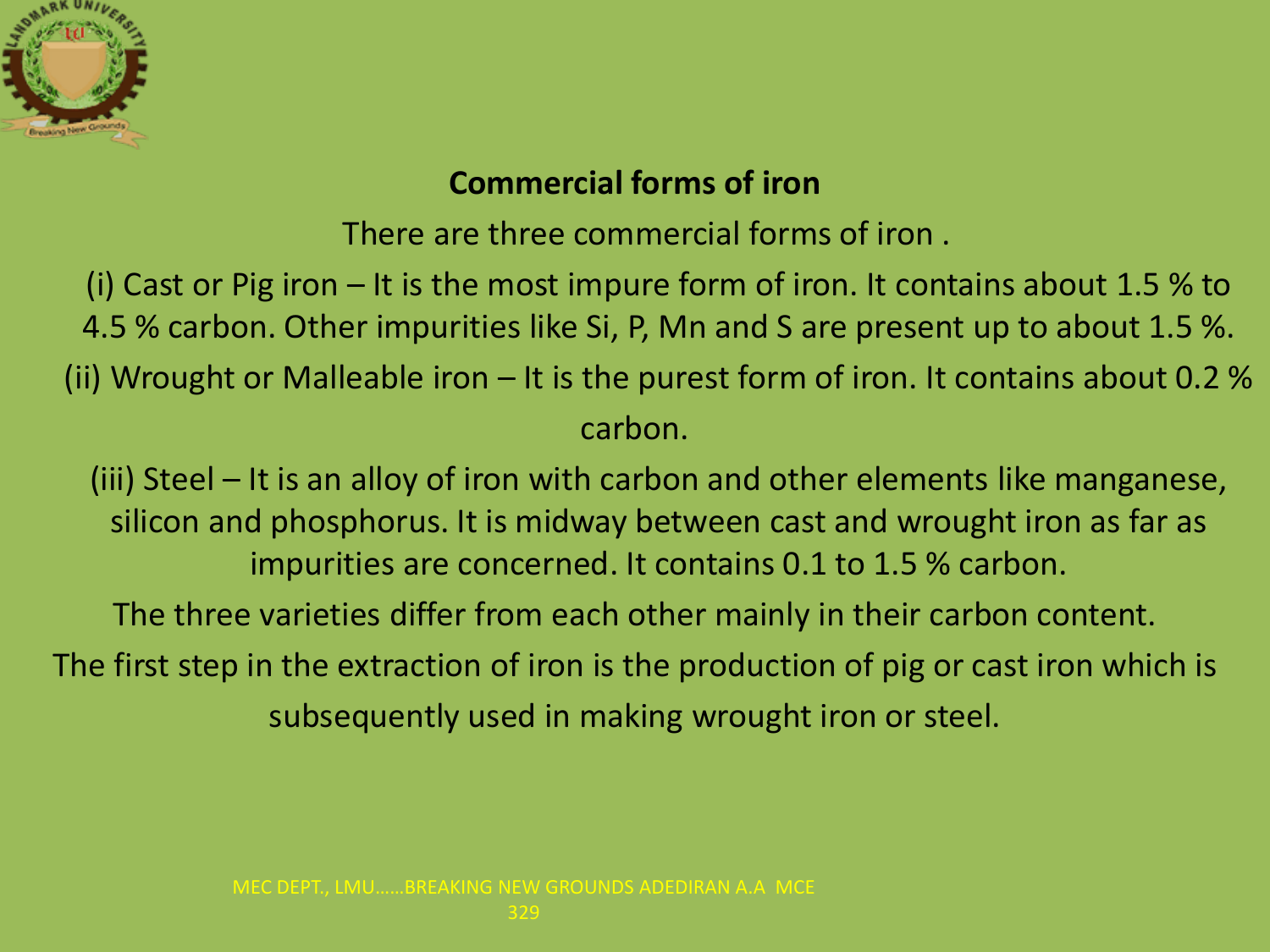

#### **Commercial forms of iron**

There are three commercial forms of iron .

(i) Cast or Pig iron – It is the most impure form of iron. It contains about 1.5 % to 4.5 % carbon. Other impurities like Si, P, Mn and S are present up to about 1.5 %. (ii) Wrought or Malleable iron  $-$  It is the purest form of iron. It contains about 0.2 % carbon.

(iii) Steel – It is an alloy of iron with carbon and other elements like manganese, silicon and phosphorus. It is midway between cast and wrought iron as far as impurities are concerned. It contains 0.1 to 1.5 % carbon.

The three varieties differ from each other mainly in their carbon content.

The first step in the extraction of iron is the production of pig or cast iron which is subsequently used in making wrought iron or steel.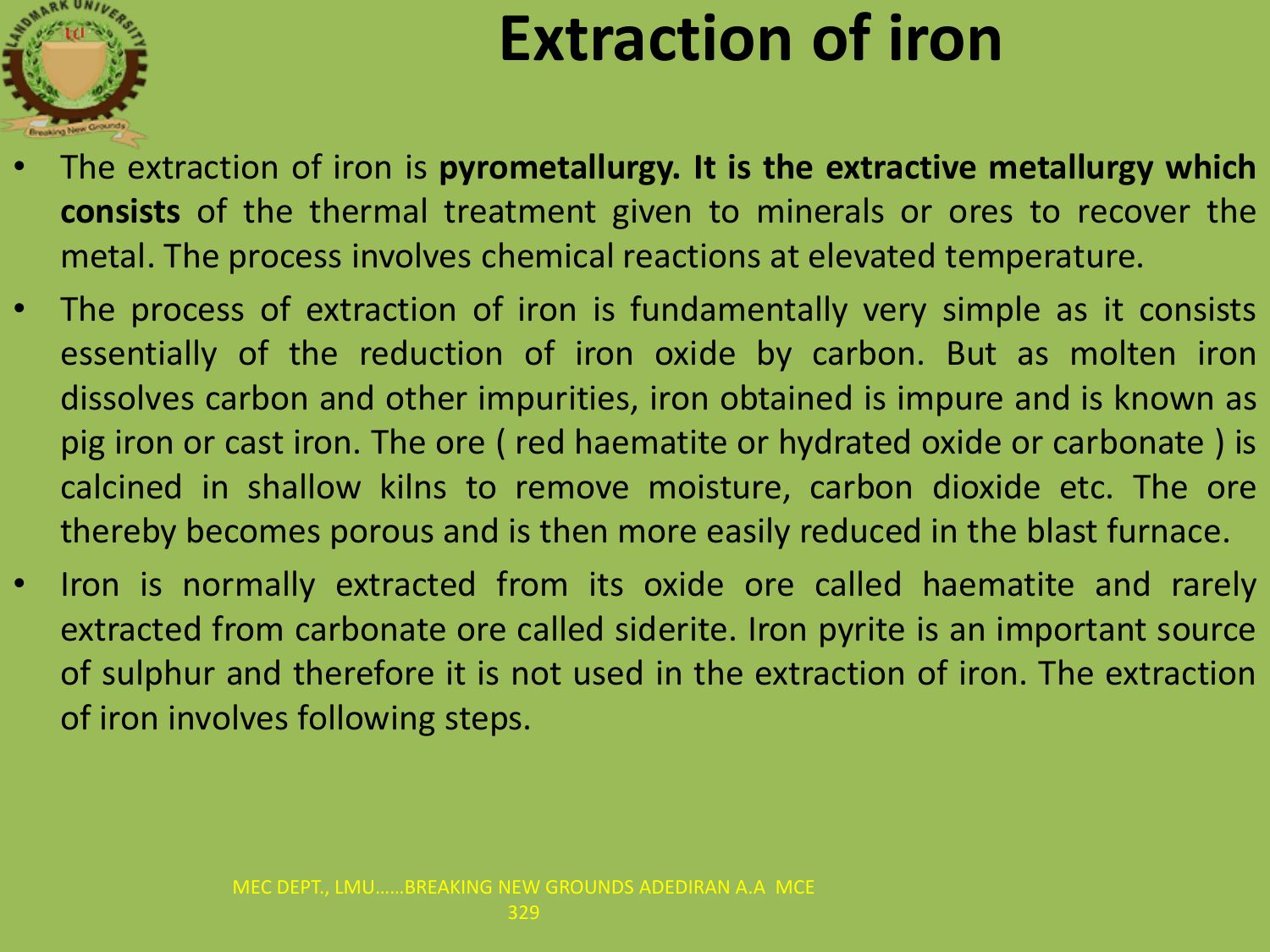

### **Extraction of iron**

- The extraction of iron is **pyrometallurgy. It is the extractive metallurgy which consists** of the thermal treatment given to minerals or ores to recover the metal. The process involves chemical reactions at elevated temperature.
- The process of extraction of iron is fundamentally very simple as it consists essentially of the reduction of iron oxide by carbon. But as molten iron dissolves carbon and other impurities, iron obtained is impure and is known as pig iron or cast iron. The ore ( red haematite or hydrated oxide or carbonate ) is calcined in shallow kilns to remove moisture, carbon dioxide etc. The ore thereby becomes porous and is then more easily reduced in the blast furnace.
- Iron is normally extracted from its oxide ore called haematite and rarely extracted from carbonate ore called siderite. Iron pyrite is an important source of sulphur and therefore it is not used in the extraction of iron. The extraction of iron involves following steps.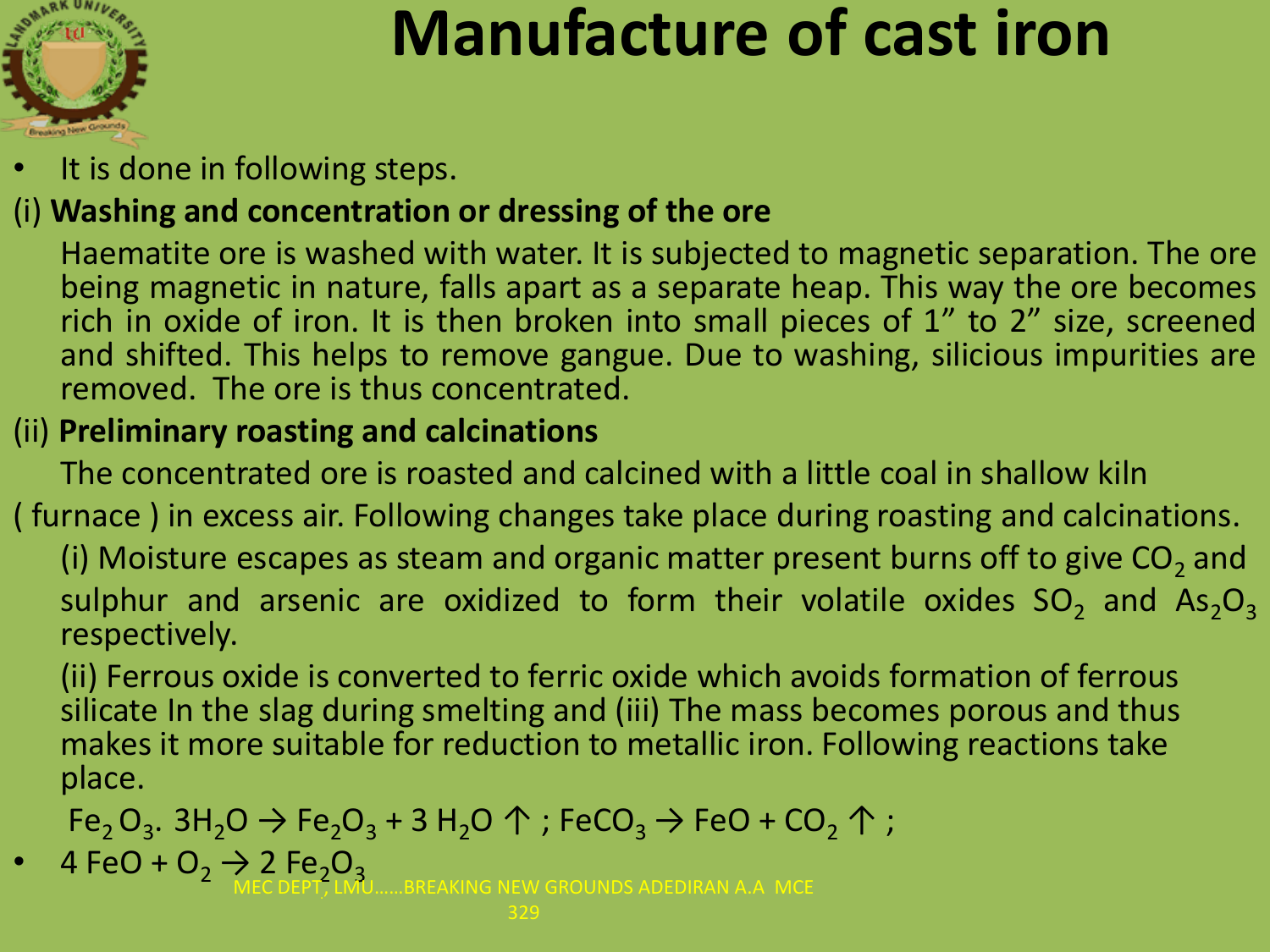

### **Manufacture of cast iron**

It is done in following steps.

#### (i) **Washing and concentration or dressing of the ore**

Haematite ore is washed with water. It is subjected to magnetic separation. The ore being magnetic in nature, falls apart as a separate heap. This way the ore becomes rich in oxide of iron. It is then broken into small pieces of 1" to 2" size, screened and shifted. This helps to remove gangue. Due to washing, silicious impurities are removed. The ore is thus concentrated.

#### (ii) **Preliminary roasting and calcinations**

The concentrated ore is roasted and calcined with a little coal in shallow kiln

#### ( furnace ) in excess air. Following changes take place during roasting and calcinations.

(i) Moisture escapes as steam and organic matter present burns off to give CO<sub>2</sub> and sulphur and arsenic are oxidized to form their volatile oxides  $SO_2$  and  $As_2O_3$ respectively.

(ii) Ferrous oxide is converted to ferric oxide which avoids formation of ferrous silicate In the slag during smelting and (iii) The mass becomes porous and thus makes it more suitable for reduction to metallic iron. Following reactions take place.

 $\mathsf{Fe}_2\mathsf{O}_3$ . 3H $_2\mathsf{O} \ni \mathsf{Fe}_2\mathsf{O}_3$  + 3 H $_2\mathsf{O} \uparrow$  ; FeCO $_3 \rightarrow$  FeO + CO $_2 \uparrow$  ;

4 FeO +  $O_2 \rightarrow 2$  Fe<sub>2</sub>O<sub>3</sub>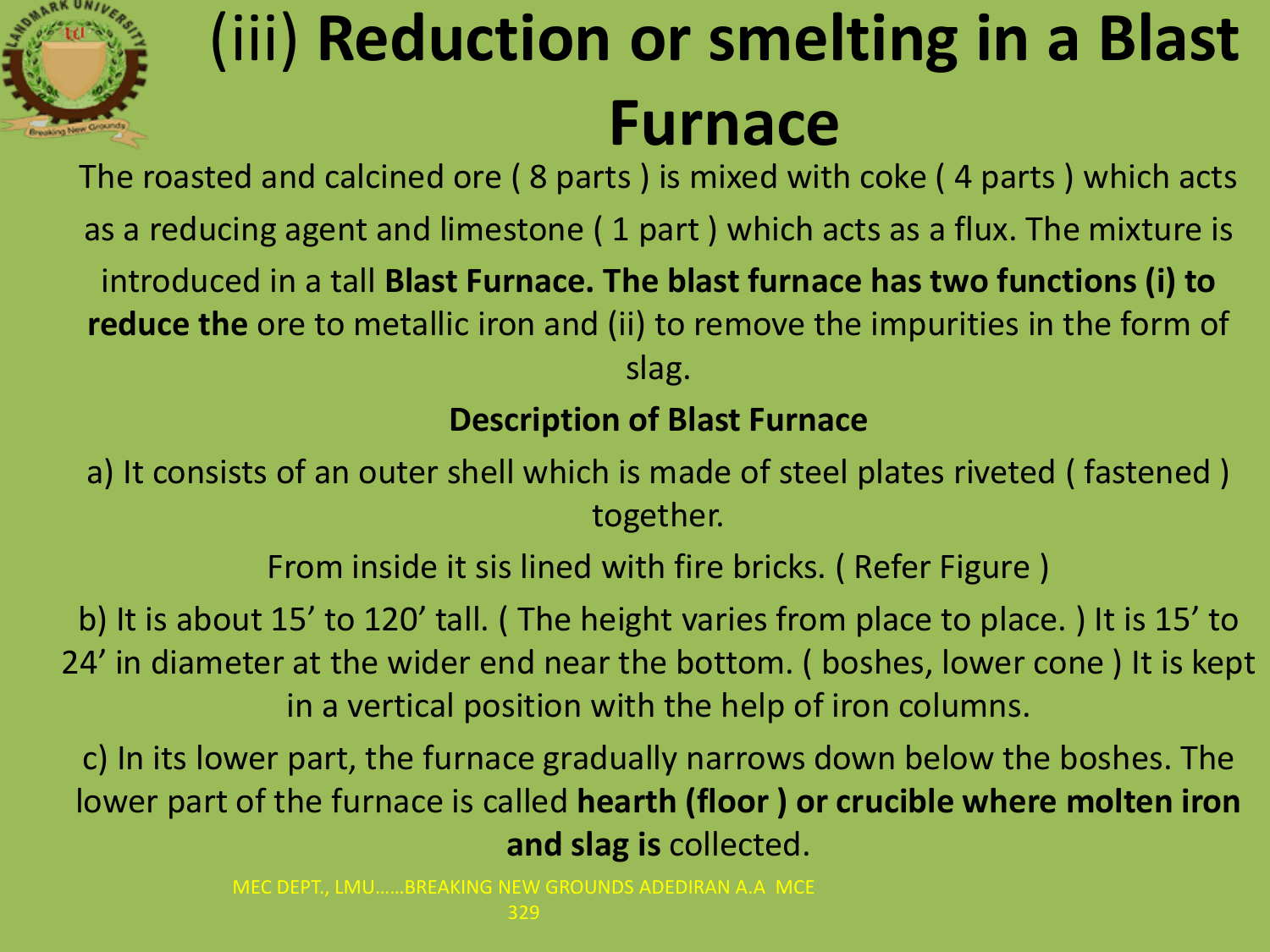

## (iii) **Reduction or smelting in a Blast Furnace**

The roasted and calcined ore ( 8 parts ) is mixed with coke ( 4 parts ) which acts as a reducing agent and limestone ( 1 part ) which acts as a flux. The mixture is introduced in a tall **Blast Furnace. The blast furnace has two functions (i) to reduce the** ore to metallic iron and (ii) to remove the impurities in the form of slag.

#### **Description of Blast Furnace**

a) It consists of an outer shell which is made of steel plates riveted ( fastened ) together.

From inside it sis lined with fire bricks. ( Refer Figure )

b) It is about 15' to 120' tall. ( The height varies from place to place. ) It is 15' to 24' in diameter at the wider end near the bottom. ( boshes, lower cone ) It is kept in a vertical position with the help of iron columns.

c) In its lower part, the furnace gradually narrows down below the boshes. The lower part of the furnace is called **hearth (floor ) or crucible where molten iron and slag is** collected.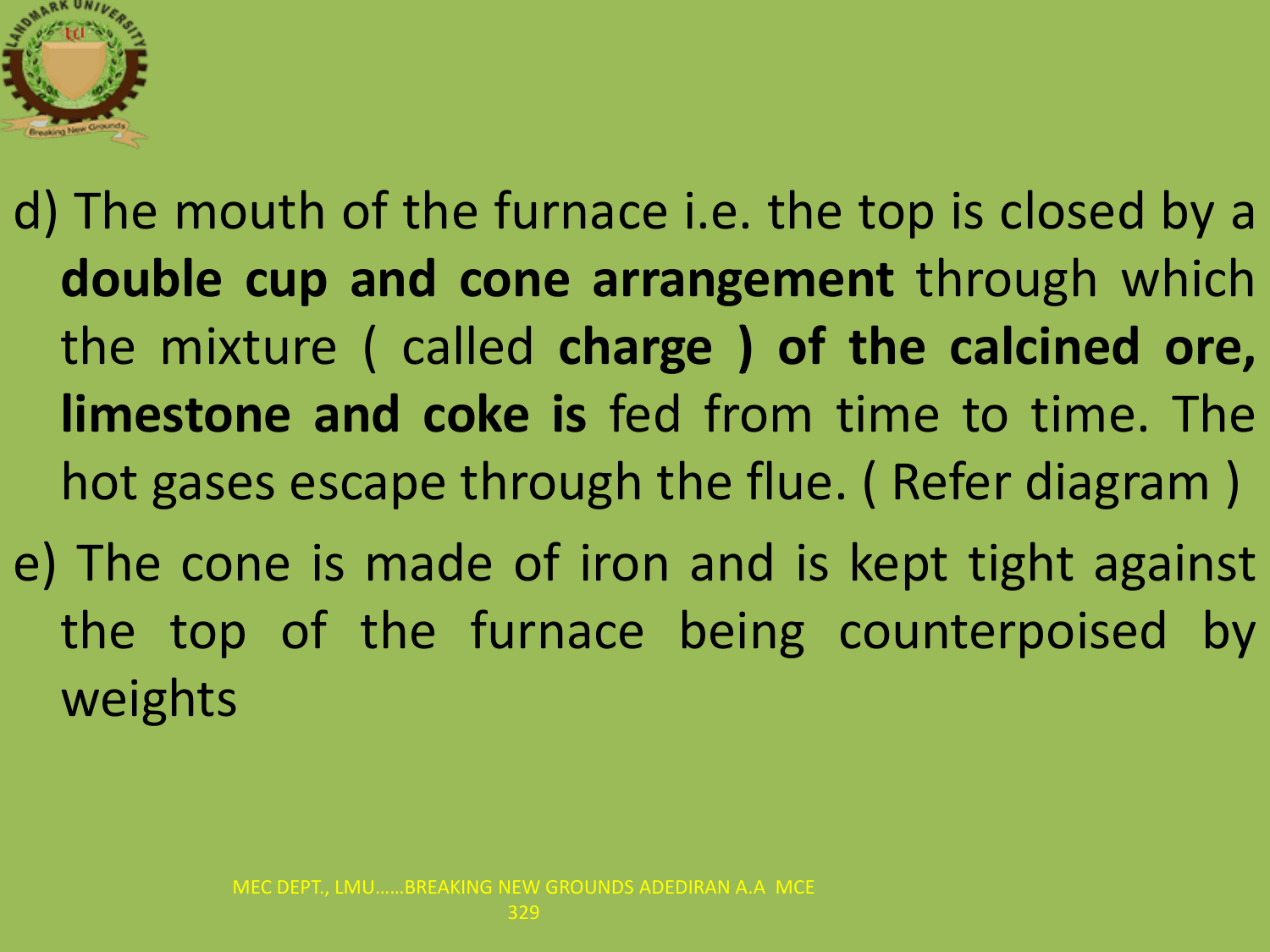

d) The mouth of the furnace i.e. the top is closed by a **double cup and cone arrangement** through which the mixture ( called **charge ) of the calcined ore, limestone and coke is** fed from time to time. The hot gases escape through the flue. ( Refer diagram ) e) The cone is made of iron and is kept tight against the top of the furnace being counterpoised by weights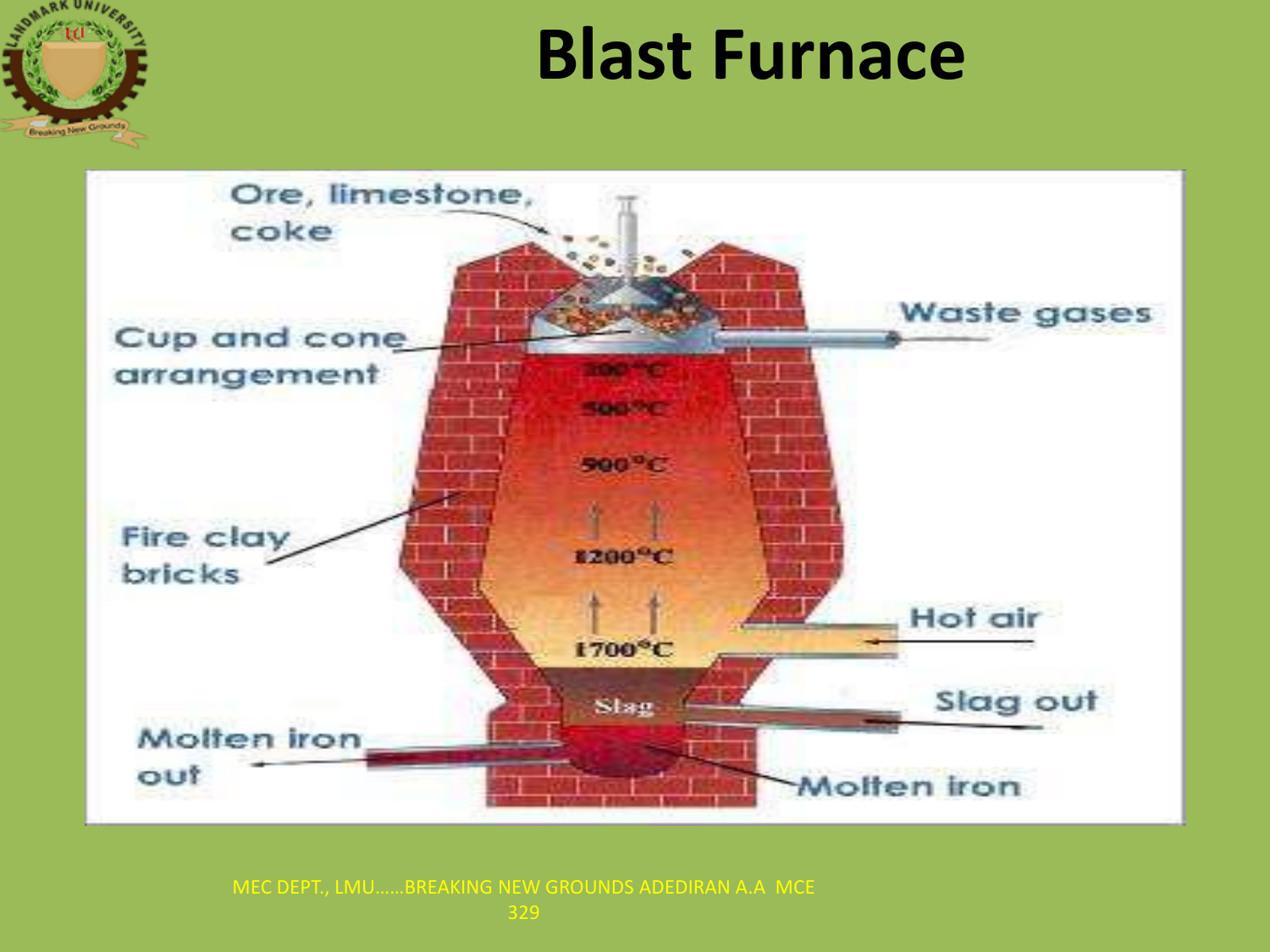

### **Blast Furnace**



329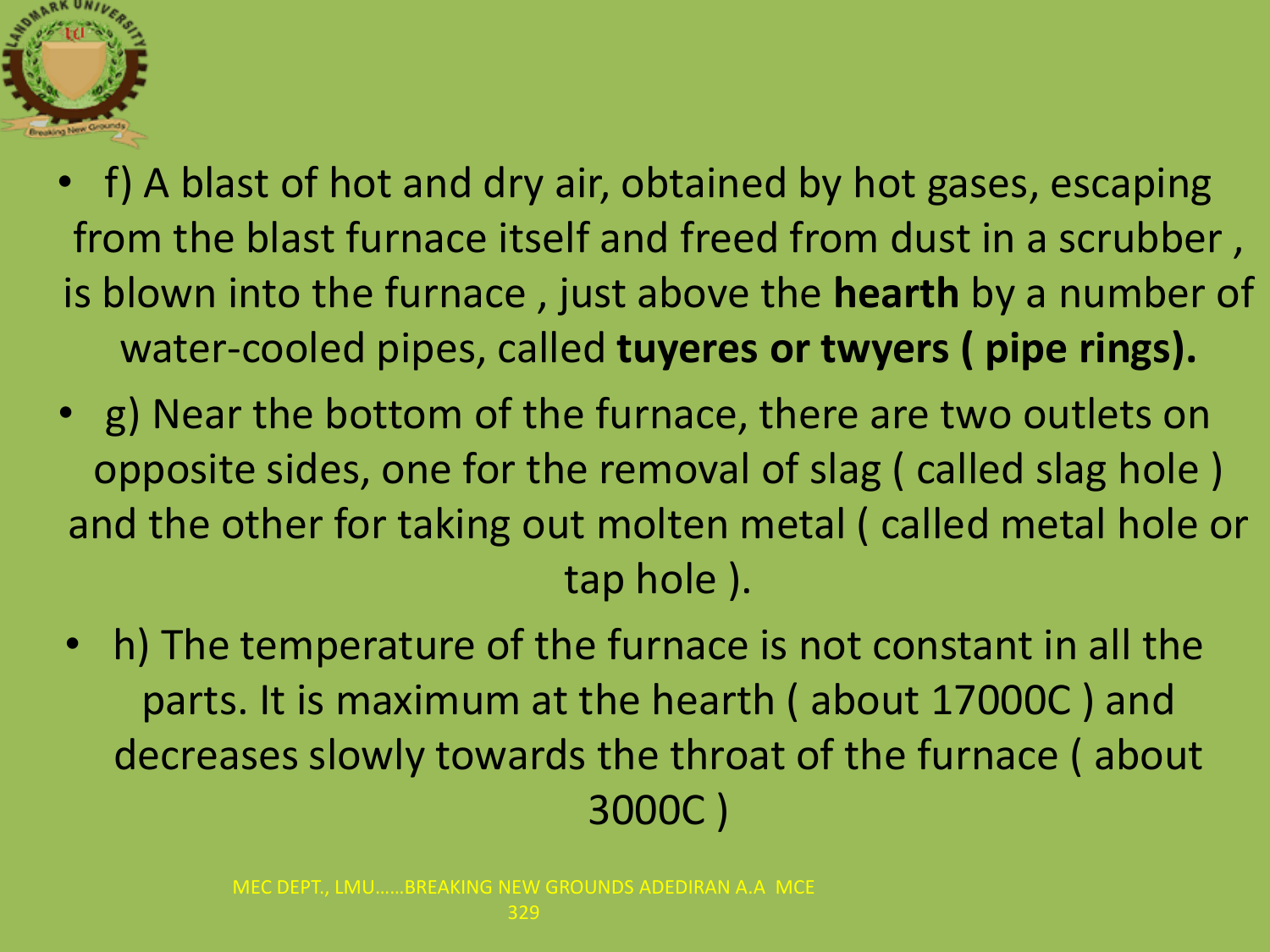

- f) A blast of hot and dry air, obtained by hot gases, escaping from the blast furnace itself and freed from dust in a scrubber , is blown into the furnace , just above the **hearth** by a number of water-cooled pipes, called **tuyeres or twyers ( pipe rings).**
- g) Near the bottom of the furnace, there are two outlets on opposite sides, one for the removal of slag ( called slag hole ) and the other for taking out molten metal ( called metal hole or tap hole ).
	- h) The temperature of the furnace is not constant in all the parts. It is maximum at the hearth ( about 17000C ) and decreases slowly towards the throat of the furnace ( about 3000C )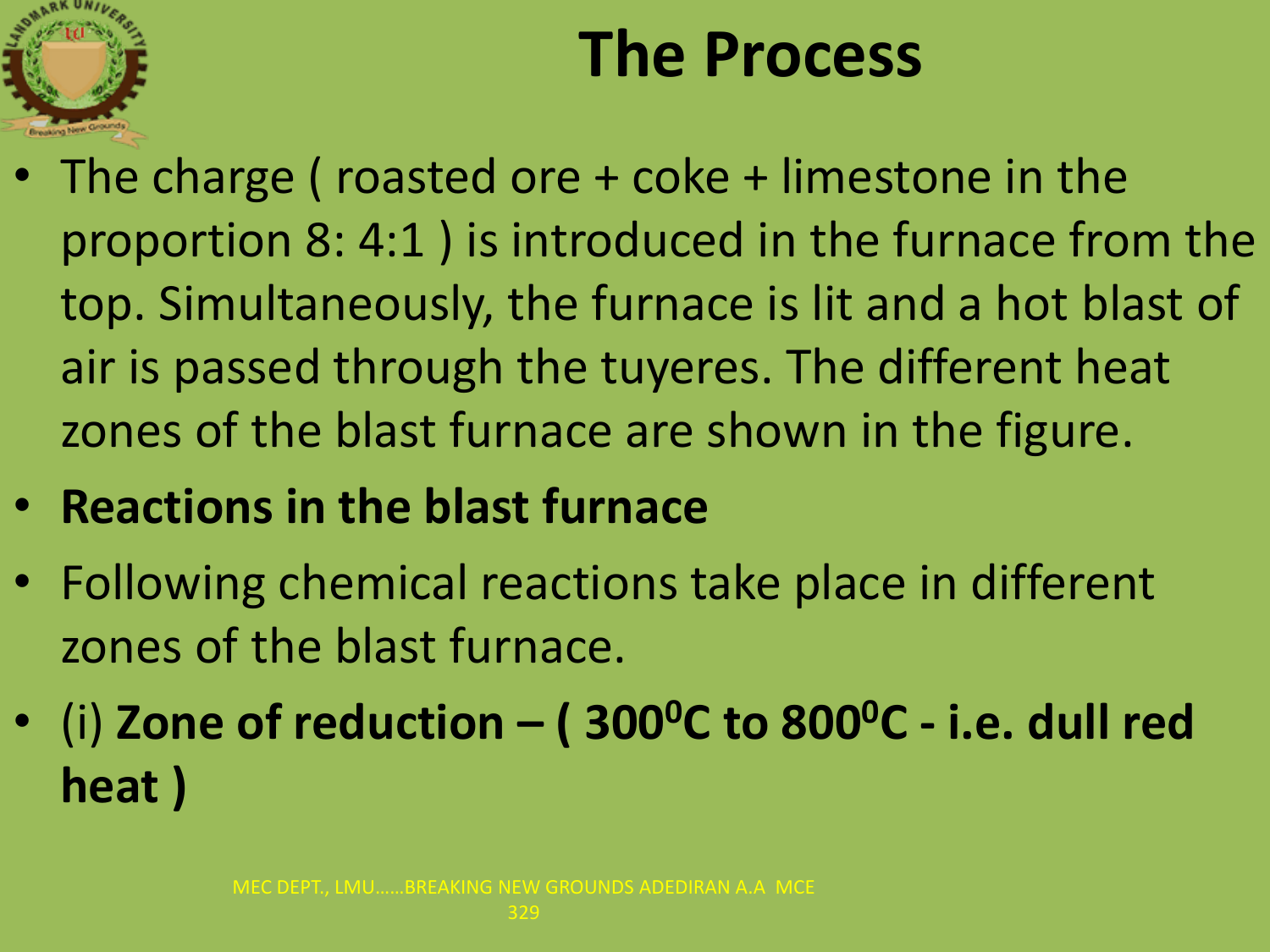

### **The Process**

- The charge ( roasted ore + coke + limestone in the proportion 8: 4:1 ) is introduced in the furnace from the top. Simultaneously, the furnace is lit and a hot blast of air is passed through the tuyeres. The different heat zones of the blast furnace are shown in the figure.
- **Reactions in the blast furnace**
- Following chemical reactions take place in different zones of the blast furnace.
- (i) **Zone of reduction – ( 300<sup>0</sup>C to 800<sup>0</sup>C - i.e. dull red heat )**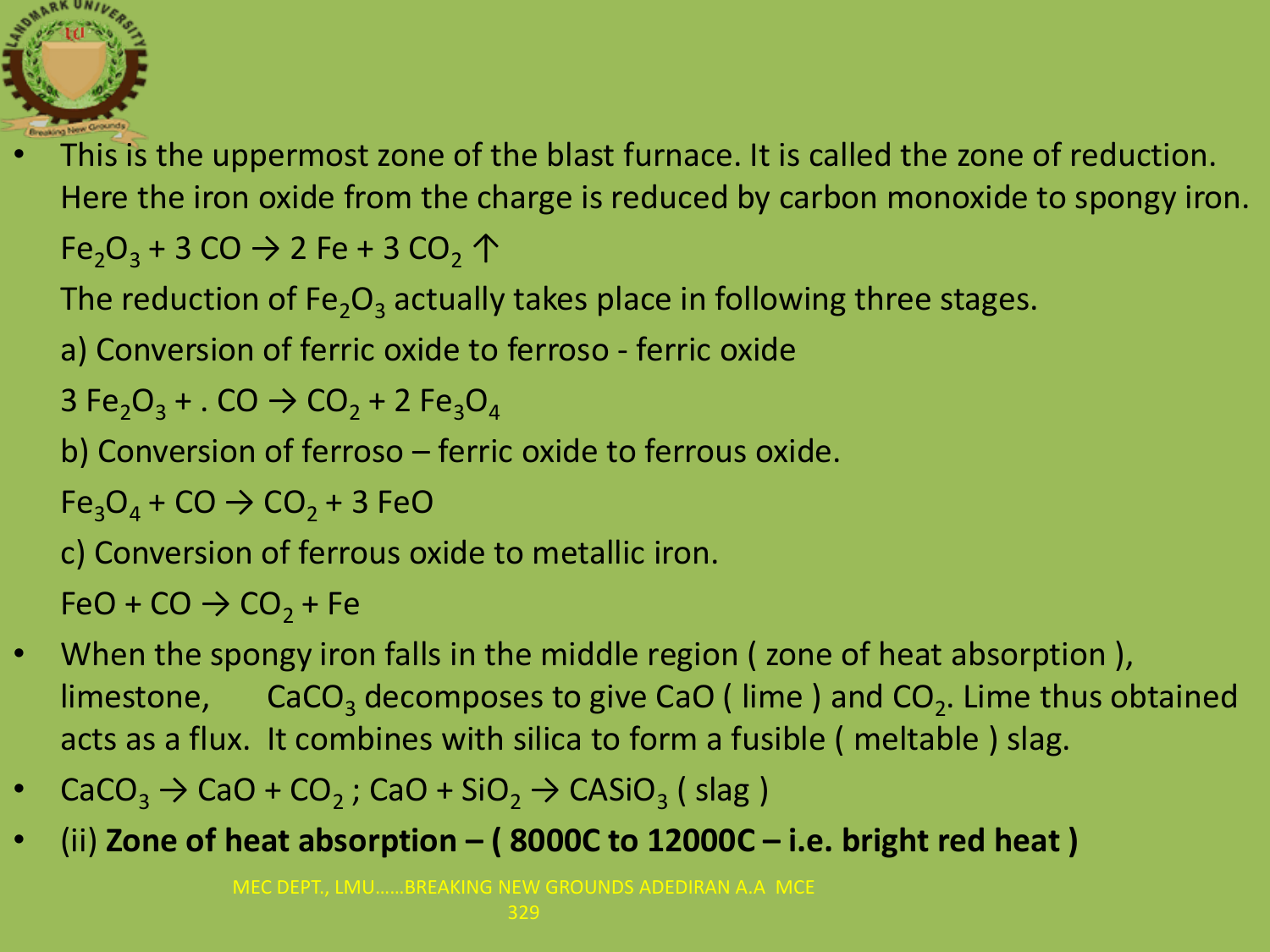

- This is the uppermost zone of the blast furnace. It is called the zone of reduction. Here the iron oxide from the charge is reduced by carbon monoxide to spongy iron.  $Fe<sub>2</sub>O<sub>3</sub>$  + 3 CO  $\rightarrow$  2 Fe + 3 CO<sub>2</sub>  $\uparrow$ 
	- The reduction of Fe<sub>2</sub>O<sub>3</sub> actually takes place in following three stages.
	- a) Conversion of ferric oxide to ferroso ferric oxide

$$
3 \text{ Fe}_2\text{O}_3 + \text{. CO} \rightarrow \text{CO}_2 + 2 \text{ Fe}_3\text{O}_4
$$

b) Conversion of ferroso – ferric oxide to ferrous oxide.

$$
Fe3O4 + CO \rightarrow CO2 + 3 FeO
$$

c) Conversion of ferrous oxide to metallic iron.

 $FeO + CO \rightarrow CO<sub>2</sub> + Fe$ 

- When the spongy iron falls in the middle region ( zone of heat absorption ), limestone,  $\text{CaCO}_3$  decomposes to give CaO (lime) and CO<sub>2</sub>. Lime thus obtained acts as a flux. It combines with silica to form a fusible ( meltable ) slag.
- $CaCO<sub>3</sub> \rightarrow CaO + CO<sub>2</sub>$ ; CaO + SiO<sub>2</sub>  $\rightarrow$  CASiO<sub>3</sub> (slag)
- (ii) **Zone of heat absorption – ( 8000C to 12000C – i.e. bright red heat )**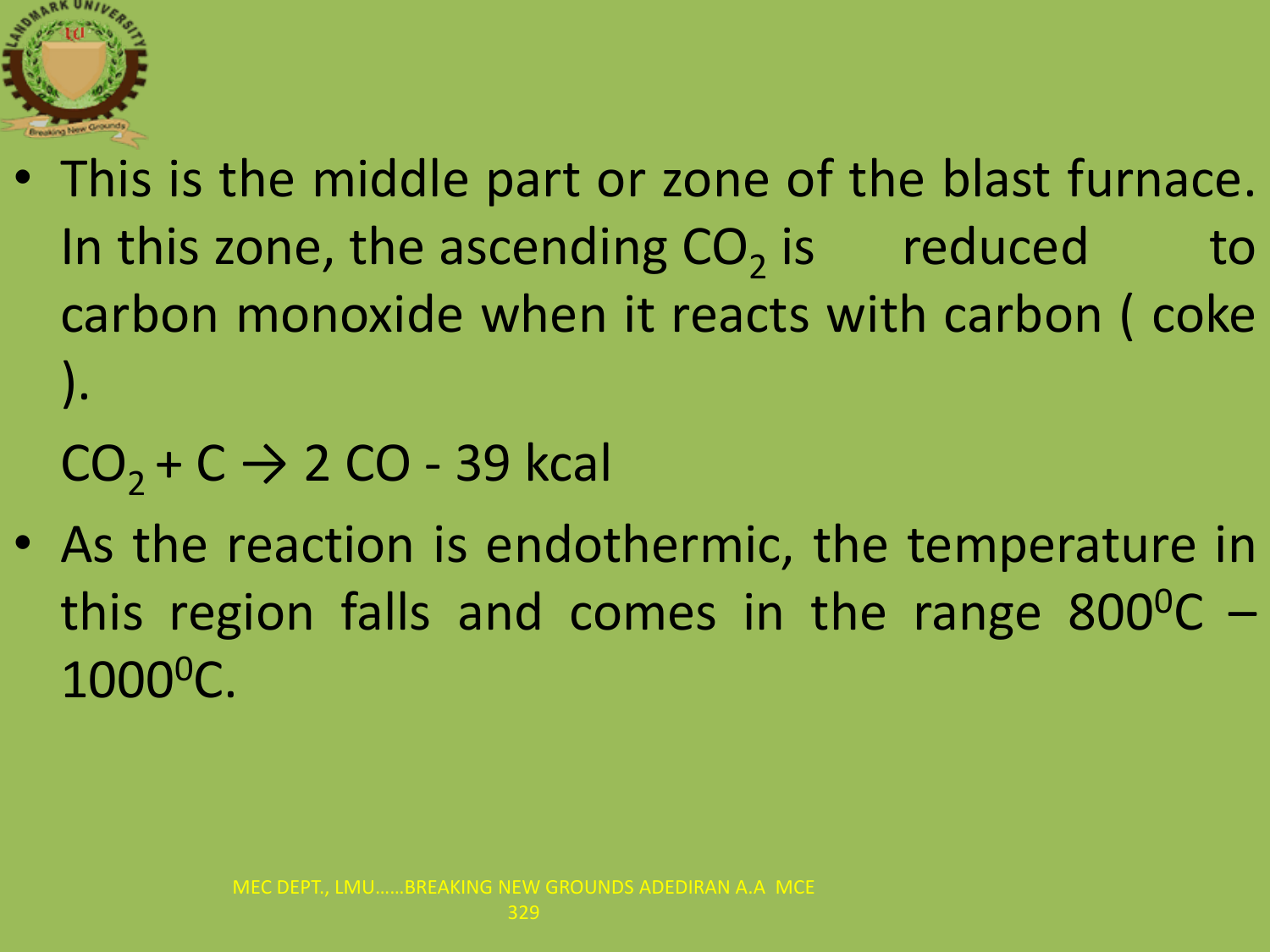

• This is the middle part or zone of the blast furnace. In this zone, the ascending  $CO_2$  is reduced to carbon monoxide when it reacts with carbon ( coke ).

 $CO<sub>2</sub> + C \rightarrow 2 CO - 39$  kcal

• As the reaction is endothermic, the temperature in this region falls and comes in the range  $800^{\circ}$ C – 1000<sup>0</sup>C.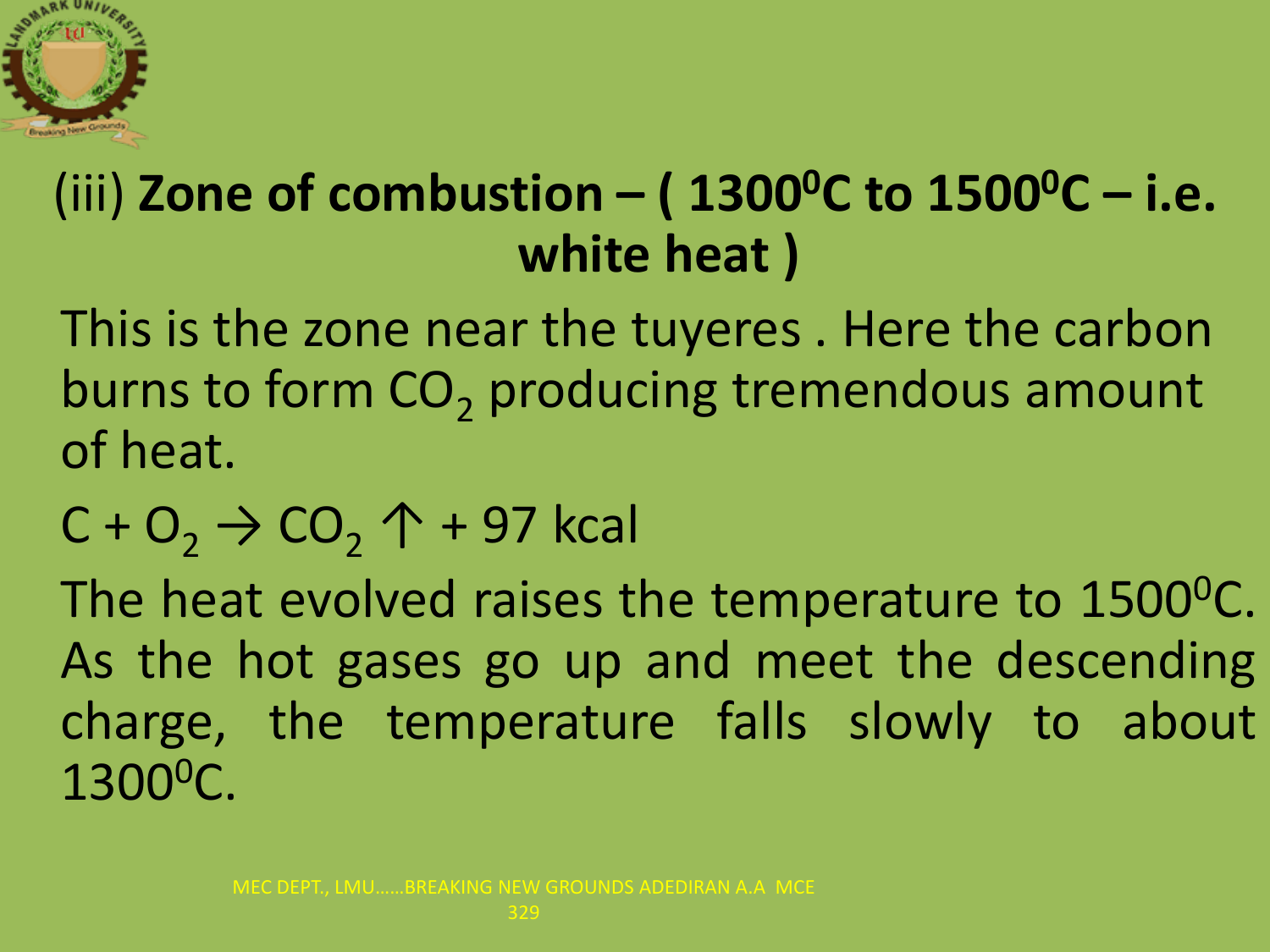

### (iii) **Zone of combustion – ( 1300<sup>0</sup>C to 1500<sup>0</sup>C – i.e. white heat )**

This is the zone near the tuyeres . Here the carbon burns to form  $CO<sub>2</sub>$  producing tremendous amount of heat.

 $C + O_2 \rightarrow CO_2 \uparrow + 97$  kcal

The heat evolved raises the temperature to 1500<sup>o</sup>C. As the hot gases go up and meet the descending charge, the temperature falls slowly to about 1300<sup>0</sup>C.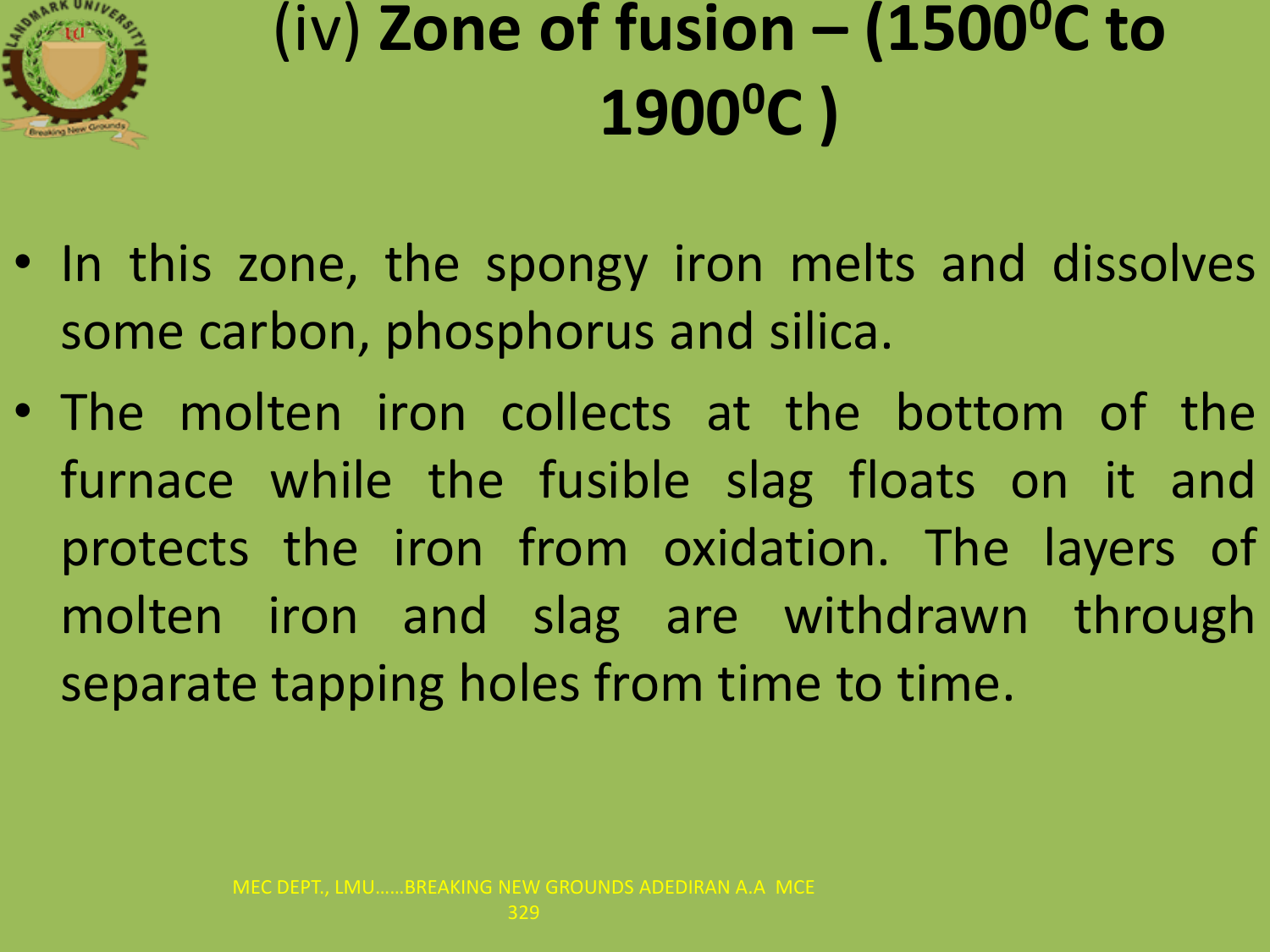

# (iv) **Zone of fusion – (1500<sup>0</sup>C to 1900<sup>0</sup>C )**

- In this zone, the spongy iron melts and dissolves some carbon, phosphorus and silica.
- The molten iron collects at the bottom of the furnace while the fusible slag floats on it and protects the iron from oxidation. The layers of molten iron and slag are withdrawn through separate tapping holes from time to time.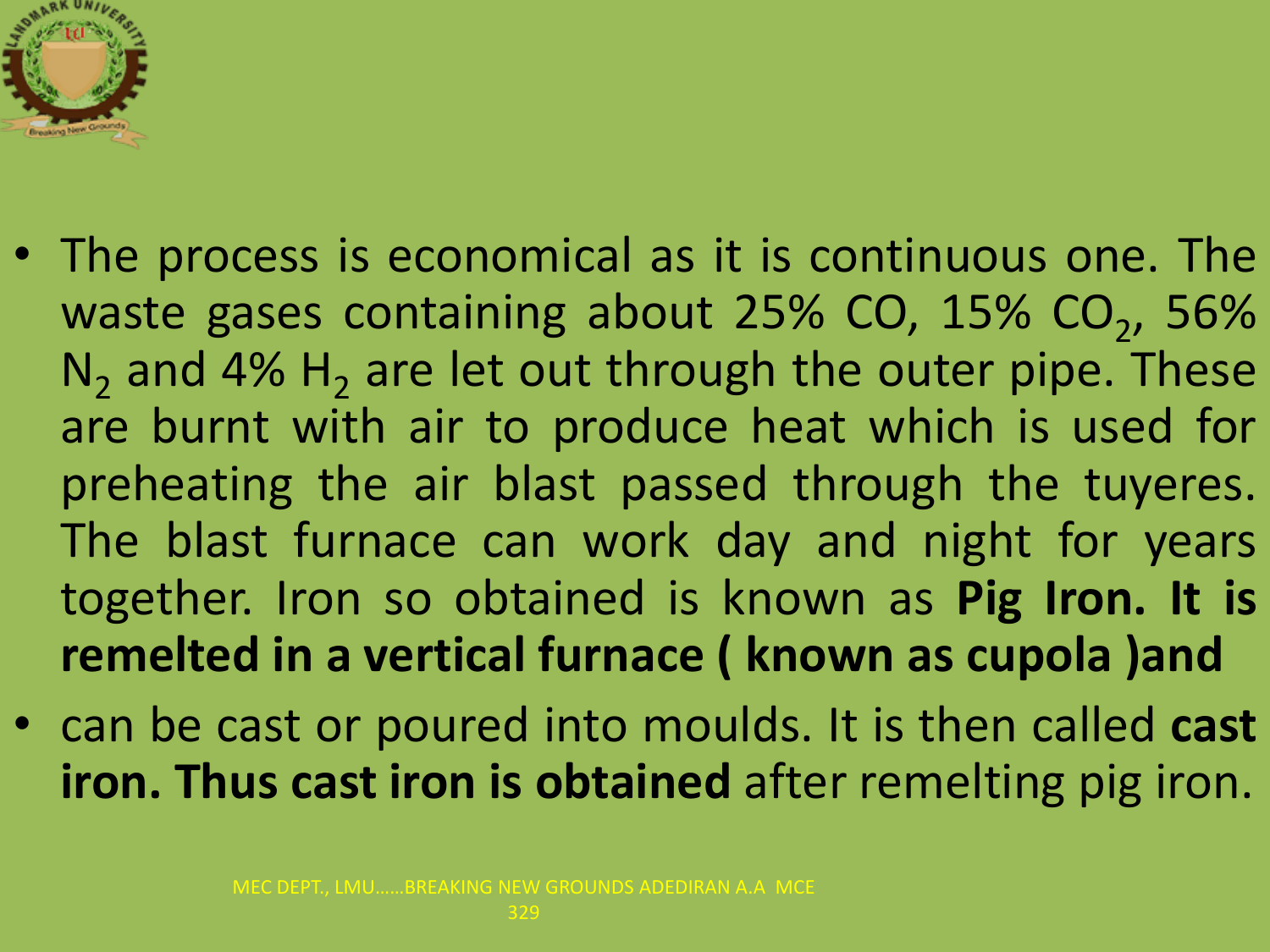

- The process is economical as it is continuous one. The waste gases containing about  $25\%$  CO,  $15\%$  CO<sub>2</sub>, 56%  $N_2$  and 4%  $H_2$  are let out through the outer pipe. These are burnt with air to produce heat which is used for preheating the air blast passed through the tuyeres. The blast furnace can work day and night for years together. Iron so obtained is known as **Pig Iron. It is remelted in a vertical furnace ( known as cupola )and**
- can be cast or poured into moulds. It is then called **cast iron. Thus cast iron is obtained** after remelting pig iron.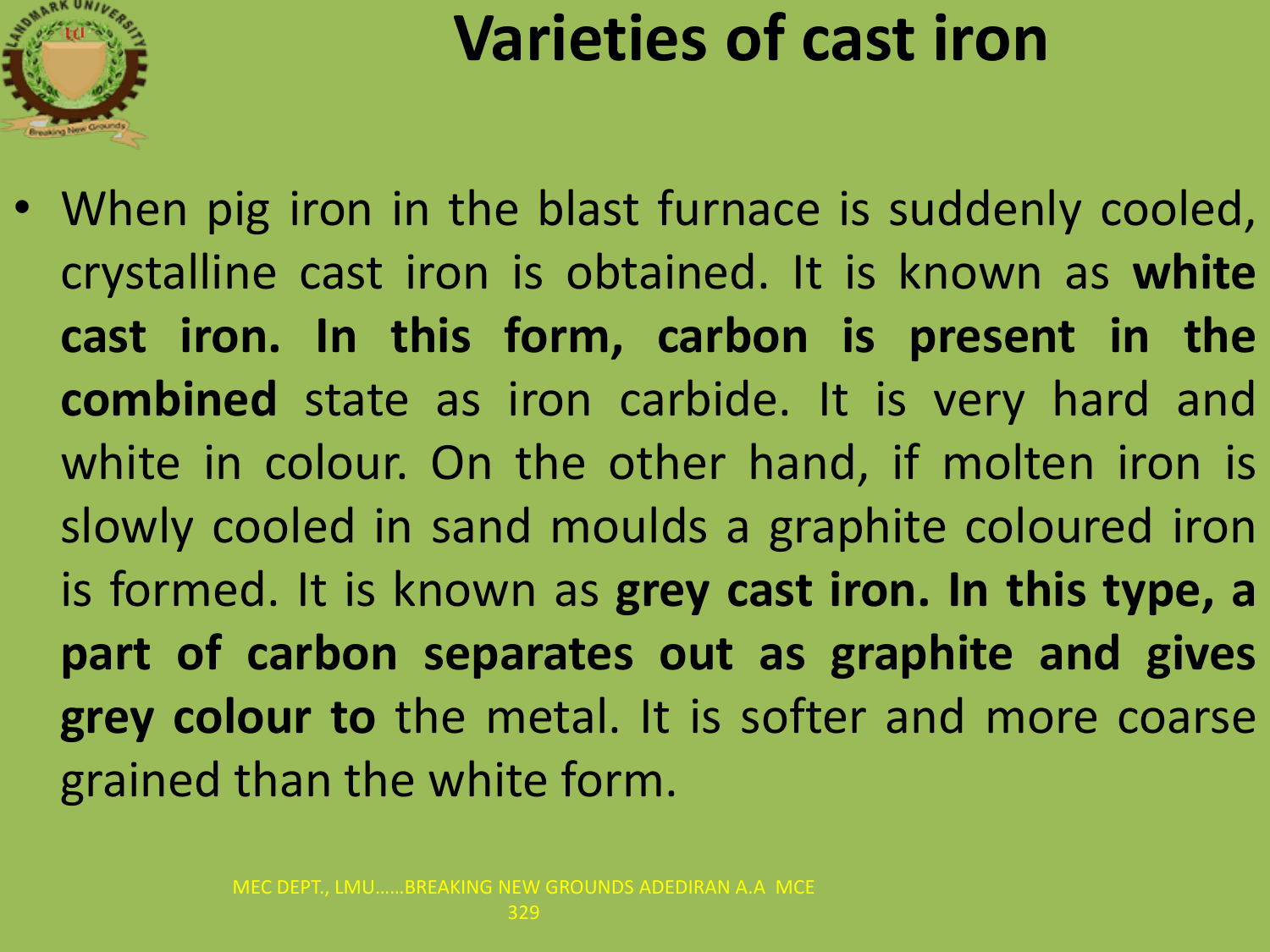

### **Varieties of cast iron**

• When pig iron in the blast furnace is suddenly cooled, crystalline cast iron is obtained. It is known as **white cast iron. In this form, carbon is present in the combined** state as iron carbide. It is very hard and white in colour. On the other hand, if molten iron is slowly cooled in sand moulds a graphite coloured iron is formed. It is known as **grey cast iron. In this type, a part of carbon separates out as graphite and gives grey colour to** the metal. It is softer and more coarse grained than the white form.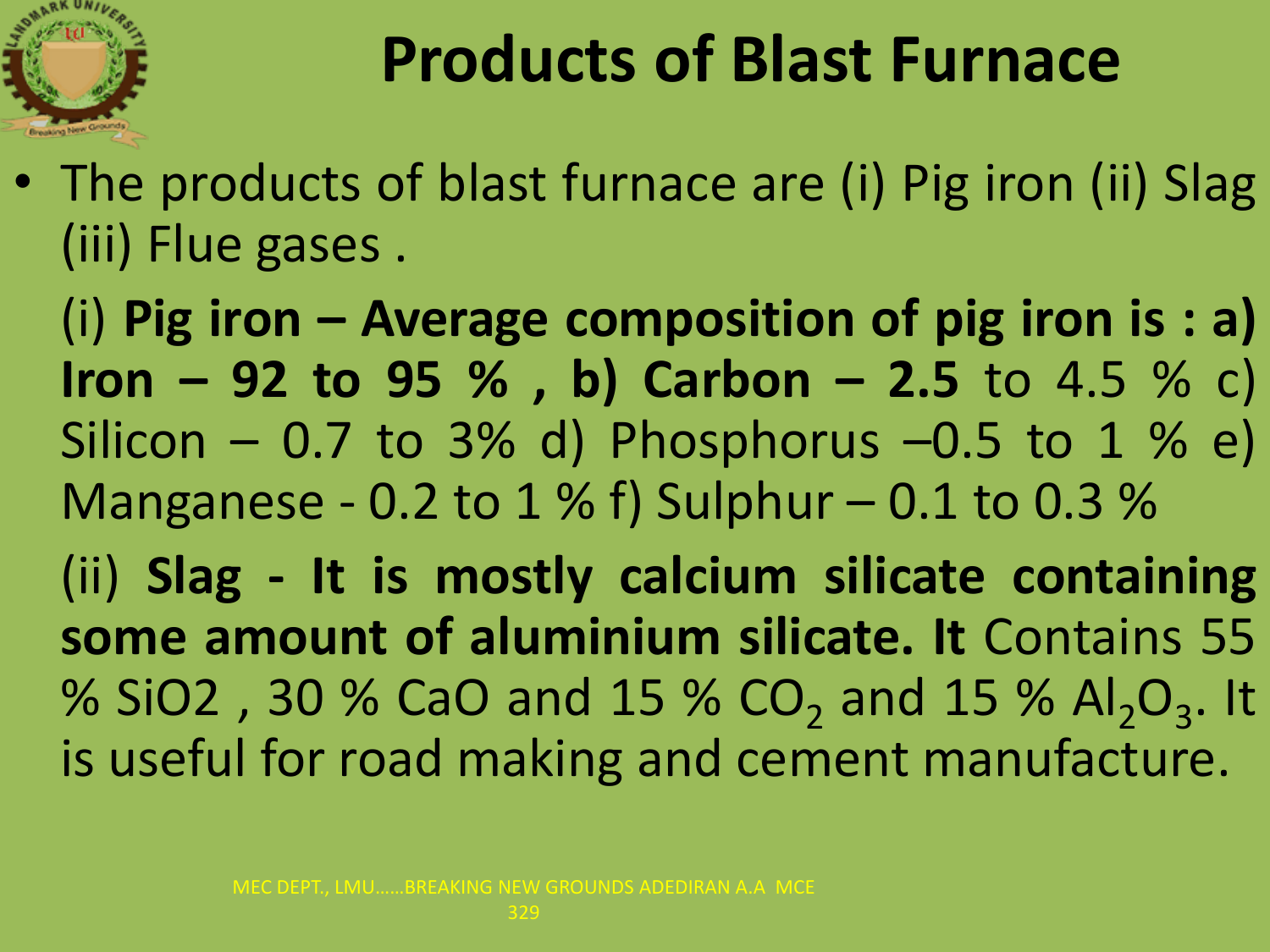

### **Products of Blast Furnace**

• The products of blast furnace are (i) Pig iron (ii) Slag (iii) Flue gases .

(i) **Pig iron – Average composition of pig iron is : a) Iron – 92 to 95 % , b) Carbon – 2.5** to 4.5 % c) Silicon – 0.7 to 3% d) Phosphorus –0.5 to 1 % e) Manganese - 0.2 to 1 % f) Sulphur  $-$  0.1 to 0.3 % (ii) **Slag - It is mostly calcium silicate containing some amount of aluminium silicate. It** Contains 55 % SiO2, 30 % CaO and 15 % CO<sub>2</sub> and 15 % Al<sub>2</sub>O<sub>3</sub>. It is useful for road making and cement manufacture.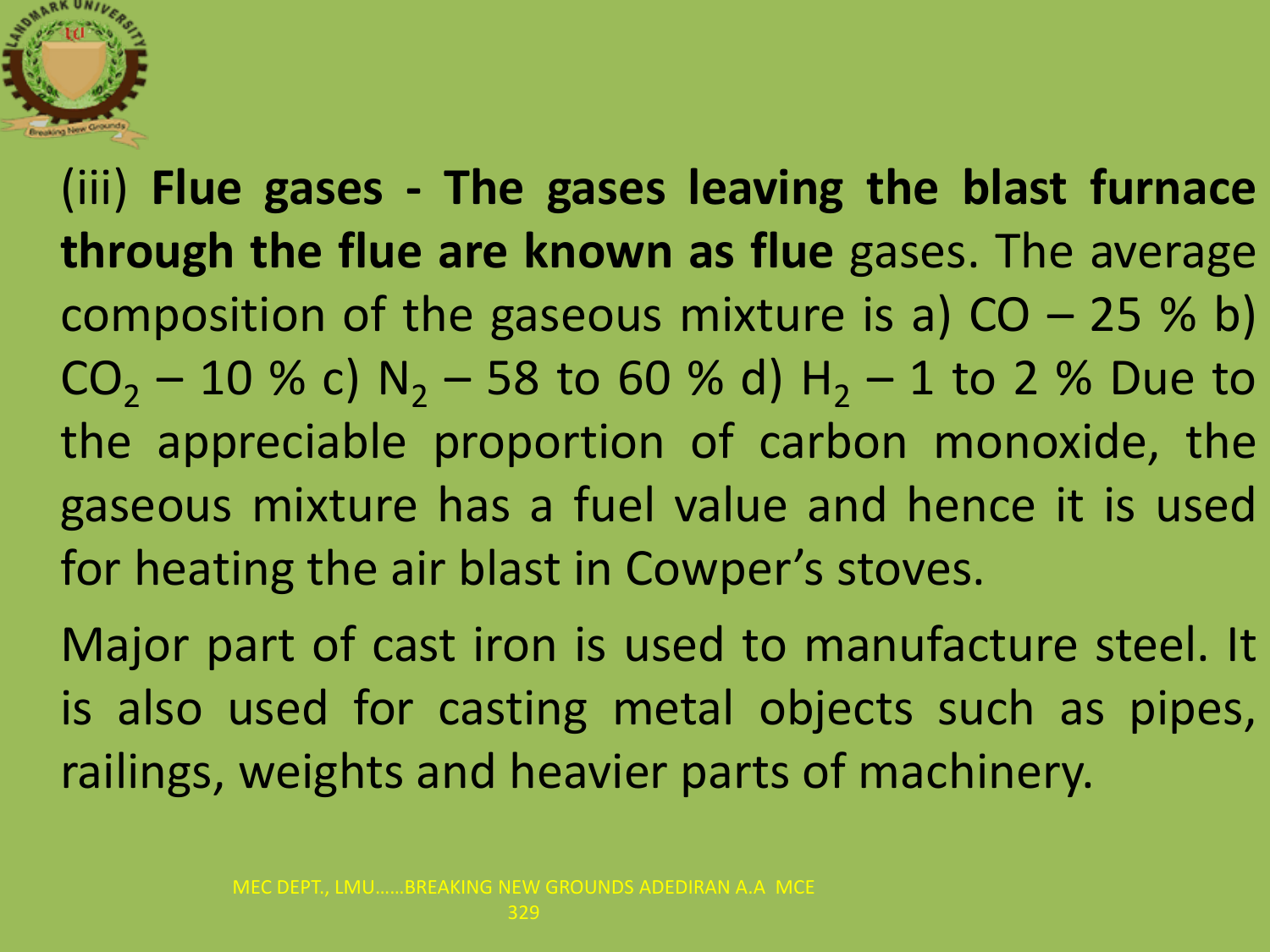

(iii) **Flue gases - The gases leaving the blast furnace through the flue are known as flue** gases. The average composition of the gaseous mixture is a)  $CO - 25$  % b)  $CO<sub>2</sub> - 10$  % c) N<sub>2</sub> – 58 to 60 % d) H<sub>2</sub> – 1 to 2 % Due to the appreciable proportion of carbon monoxide, the gaseous mixture has a fuel value and hence it is used for heating the air blast in Cowper's stoves.

Major part of cast iron is used to manufacture steel. It is also used for casting metal objects such as pipes, railings, weights and heavier parts of machinery.